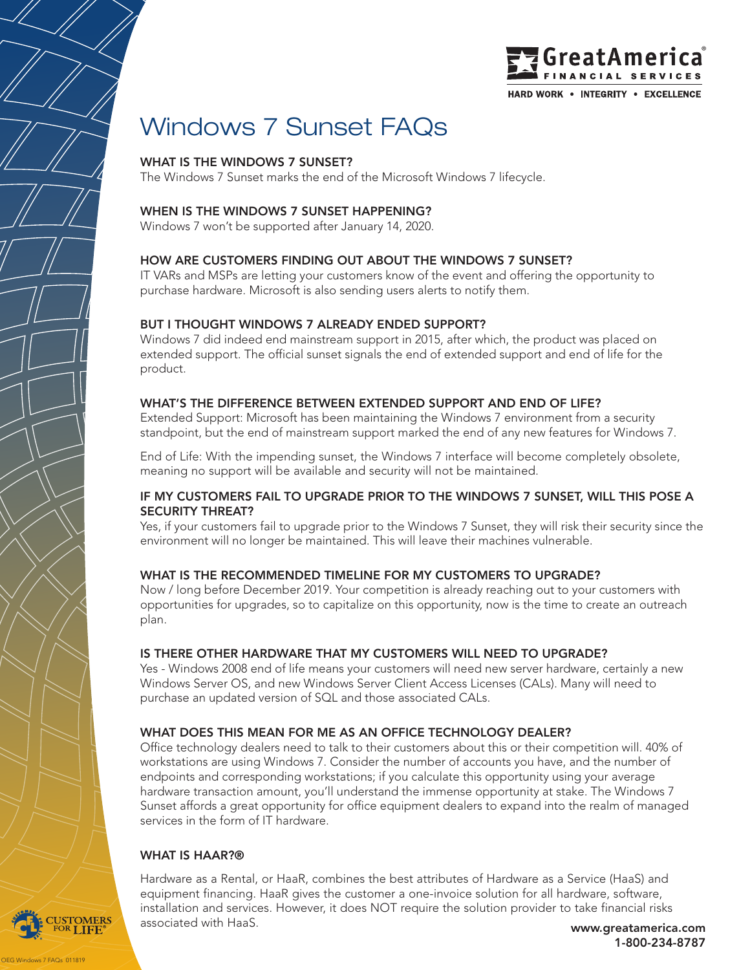

# Windows 7 Sunset FAQs

## WHAT IS THE WINDOWS 7 SUNSET?

The Windows 7 Sunset marks the end of the Microsoft Windows 7 lifecycle.

# WHEN IS THE WINDOWS 7 SUNSET HAPPENING?

Windows 7 won't be supported after January 14, 2020.

#### HOW ARE CUSTOMERS FINDING OUT ABOUT THE WINDOWS 7 SUNSET?

IT VARs and MSPs are letting your customers know of the event and offering the opportunity to purchase hardware. Microsoft is also sending users alerts to notify them.

#### BUT I THOUGHT WINDOWS 7 ALREADY ENDED SUPPORT?

Windows 7 did indeed end mainstream support in 2015, after which, the product was placed on extended support. The official sunset signals the end of extended support and end of life for the product.

#### WHAT'S THE DIFFERENCE BETWEEN EXTENDED SUPPORT AND END OF LIFE?

Extended Support: Microsoft has been maintaining the Windows 7 environment from a security standpoint, but the end of mainstream support marked the end of any new features for Windows 7.

End of Life: With the impending sunset, the Windows 7 interface will become completely obsolete, meaning no support will be available and security will not be maintained.

#### IF MY CUSTOMERS FAIL TO UPGRADE PRIOR TO THE WINDOWS 7 SUNSET, WILL THIS POSE A SECURITY THREAT?

Yes, if your customers fail to upgrade prior to the Windows 7 Sunset, they will risk their security since the environment will no longer be maintained. This will leave their machines vulnerable.

#### WHAT IS THE RECOMMENDED TIMELINE FOR MY CUSTOMERS TO UPGRADE?

Now / long before December 2019. Your competition is already reaching out to your customers with opportunities for upgrades, so to capitalize on this opportunity, now is the time to create an outreach plan.

#### IS THERE OTHER HARDWARE THAT MY CUSTOMERS WILL NEED TO UPGRADE?

Yes - Windows 2008 end of life means your customers will need new server hardware, certainly a new Windows Server OS, and new Windows Server Client Access Licenses (CALs). Many will need to purchase an updated version of SQL and those associated CALs.

# WHAT DOES THIS MEAN FOR ME AS AN OFFICE TECHNOLOGY DEALER?

Office technology dealers need to talk to their customers about this or their competition will. 40% of workstations are using Windows 7. Consider the number of accounts you have, and the number of endpoints and corresponding workstations; if you calculate this opportunity using your average hardware transaction amount, you'll understand the immense opportunity at stake. The Windows 7 Sunset affords a great opportunity for office equipment dealers to expand into the realm of managed services in the form of IT hardware.

#### WHAT IS HAAR?®

s 7 FAQs 011819

**OMERS** 

Hardware as a Rental, or HaaR, combines the best attributes of Hardware as a Service (HaaS) and equipment financing. HaaR gives the customer a one-invoice solution for all hardware, software, installation and services. However, it does NOT require the solution provider to take financial risks associated with HaaS. www.greatamerica.com

1-800-234-8787